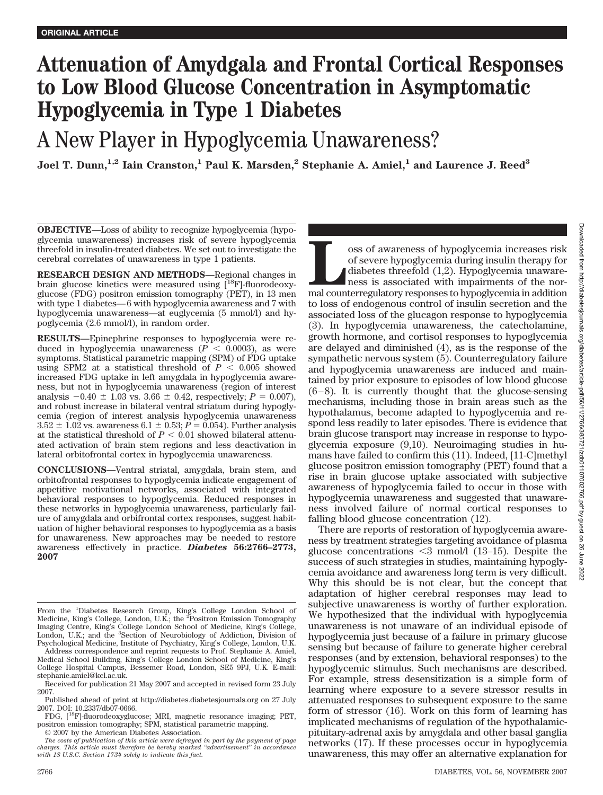# **Attenuation of Amydgala and Frontal Cortical Responses to Low Blood Glucose Concentration in Asymptomatic Hypoglycemia in Type 1 Diabetes**

A New Player in Hypoglycemia Unawareness?

Joel T. Dunn,<sup>1,2</sup> Iain Cranston,<sup>1</sup> Paul K. Marsden,<sup>2</sup> Stephanie A. Amiel,<sup>1</sup> and Laurence J. Reed<sup>3</sup>

**OBJECTIVE—**Loss of ability to recognize hypoglycemia (hypoglycemia unawareness) increases risk of severe hypoglycemia threefold in insulin-treated diabetes. We set out to investigate the cerebral correlates of unawareness in type 1 patients.

**RESEARCH DESIGN AND METHODS—**Regional changes in brain glucose kinetics were measured using [<sup>18</sup>F]-fluorodeoxyglucose (FDG) positron emission tomography (PET), in 13 men with type 1 diabetes— 6 with hypoglycemia awareness and 7 with hypoglycemia unawareness—at euglycemia (5 mmol/l) and hypoglycemia (2.6 mmol/l), in random order.

**RESULTS—**Epinephrine responses to hypoglycemia were reduced in hypoglycemia unawareness ( $\vec{P}$  < 0.0003), as were symptoms. Statistical parametric mapping (SPM) of FDG uptake using SPM2 at a statistical threshold of  $P < 0.005$  showed increased FDG uptake in left amygdala in hypoglycemia awareness, but not in hypoglycemia unawareness (region of interest analysis  $-0.40 \pm 1.03$  vs. 3.66  $\pm$  0.42, respectively;  $P = 0.007$ ), and robust increase in bilateral ventral striatum during hypoglycemia (region of interest analysis hypoglycemia unawareness  $3.52 \pm 1.02$  vs. awareness  $6.1 \pm 0.53$ ;  $P = 0.054$ ). Further analysis at the statistical threshold of  $P < 0.01$  showed bilateral attenuated activation of brain stem regions and less deactivation in lateral orbitofrontal cortex in hypoglycemia unawareness.

**CONCLUSIONS—**Ventral striatal, amygdala, brain stem, and orbitofrontal responses to hypoglycemia indicate engagement of appetitive motivational networks, associated with integrated behavioral responses to hypoglycemia. Reduced responses in these networks in hypoglycemia unawareness, particularly failure of amygdala and orbifrontal cortex responses, suggest habituation of higher behavioral responses to hypoglycemia as a basis for unawareness. New approaches may be needed to restore awareness effectively in practice. *Diabetes* **56:2766–2773, 2007**

© 2007 by the American Diabetes Association.

Source as of hypoglycemia increases risk of severe hypoglycemia during insulin therapy for diabetes threefold (1,2). Hypoglycemia unawareness is associated with impairments of the normal counterregulatory responses to hypo of severe hypoglycemia during insulin therapy for diabetes threefold (1,2). Hypoglycemia unawareness is associated with impairments of the normal counterregulatory responses to hypoglycemia in addition to loss of endogenous control of insulin secretion and the associated loss of the glucagon response to hypoglycemia (3). In hypoglycemia unawareness, the catecholamine, growth hormone, and cortisol responses to hypoglycemia are delayed and diminished (4), as is the response of the sympathetic nervous system (5). Counterregulatory failure and hypoglycemia unawareness are induced and maintained by prior exposure to episodes of low blood glucose  $(6-8)$ . It is currently thought that the glucose-sensing mechanisms, including those in brain areas such as the hypothalamus, become adapted to hypoglycemia and respond less readily to later episodes. There is evidence that brain glucose transport may increase in response to hypoglycemia exposure (9,10). Neuroimaging studies in humans have failed to confirm this (11). Indeed, [11-C]methyl glucose positron emission tomography (PET) found that a rise in brain glucose uptake associated with subjective awareness of hypoglycemia failed to occur in those with hypoglycemia unawareness and suggested that unawareness involved failure of normal cortical responses to falling blood glucose concentration (12).

There are reports of restoration of hypoglycemia awareness by treatment strategies targeting avoidance of plasma glucose concentrations  $\leq$ 3 mmol/l (13–15). Despite the success of such strategies in studies, maintaining hypoglycemia avoidance and awareness long term is very difficult. Why this should be is not clear, but the concept that adaptation of higher cerebral responses may lead to subjective unawareness is worthy of further exploration. We hypothesized that the individual with hypoglycemia unawareness is not unaware of an individual episode of hypoglycemia just because of a failure in primary glucose sensing but because of failure to generate higher cerebral responses (and by extension, behavioral responses) to the hypoglycemic stimulus. Such mechanisms are described. For example, stress desensitization is a simple form of learning where exposure to a severe stressor results in attenuated responses to subsequent exposure to the same form of stressor (16). Work on this form of learning has implicated mechanisms of regulation of the hypothalamicpituitary-adrenal axis by amygdala and other basal ganglia networks (17). If these processes occur in hypoglycemia unawareness, this may offer an alternative explanation for

From the <sup>1</sup>Diabetes Research Group, King's College London School of Medicine, King's College, London, U.K.; the <sup>2</sup>Positron Emission Tomography Imaging Centre, King's College London School of Medicine, King's College,<br>London, U.K.; and the <sup>3</sup>Section of Neurobiology of Addiction, Division of Psychological Medicine, Institute of Psychiatry, King's College, London, U.K.

Address correspondence and reprint requests to Prof. Stephanie A. Amiel, Medical School Building, King's College London School of Medicine, King's College Hospital Campus, Bessemer Road, London, SE5 9PJ, U.K. E-mail: stephanie.amiel@kcl.ac.uk.

Received for publication 21 May 2007 and accepted in revised form 23 July 2007.

Published ahead of print at http://diabetes.diabetesjournals.org on 27 July 2007. DOI: 10.2337/db07-0666.

FDG, [18F]-fluorodeoxyglucose; MRI, magnetic resonance imaging; PET, positron emission tomography; SPM, statistical parametric mapping.

*The costs of publication of this article were defrayed in part by the payment of page charges. This article must therefore be hereby marked "advertisement" in accordance with 18 U.S.C. Section 1734 solely to indicate this fact.*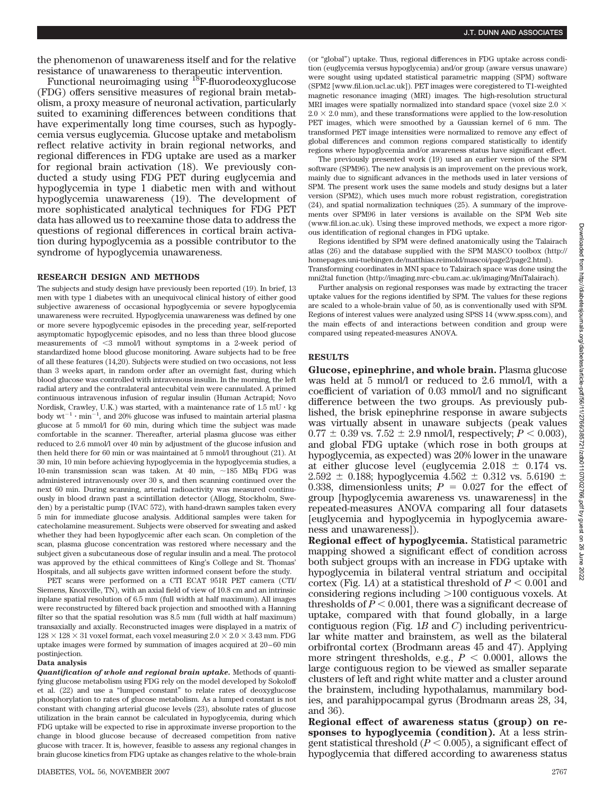the phenomenon of unawareness itself and for the relative resistance of unawareness to therapeutic intervention.

Functional neuroimaging using 18F-fluorodeoxyglucose (FDG) offers sensitive measures of regional brain metabolism, a proxy measure of neuronal activation, particularly suited to examining differences between conditions that have experimentally long time courses, such as hypoglycemia versus euglycemia. Glucose uptake and metabolism reflect relative activity in brain regional networks, and regional differences in FDG uptake are used as a marker for regional brain activation (18). We previously conducted a study using FDG PET during euglycemia and hypoglycemia in type 1 diabetic men with and without hypoglycemia unawareness (19). The development of more sophisticated analytical techniques for FDG PET data has allowed us to reexamine those data to address the questions of regional differences in cortical brain activation during hypoglycemia as a possible contributor to the syndrome of hypoglycemia unawareness.

## **RESEARCH DESIGN AND METHODS**

The subjects and study design have previously been reported (19). In brief, 13 men with type 1 diabetes with an unequivocal clinical history of either good subjective awareness of occasional hypoglycemia or severe hypoglycemia unawareness were recruited. Hypoglycemia unawareness was defined by one or more severe hypoglycemic episodes in the preceding year, self-reported asymptomatic hypoglycemic episodes, and no less than three blood glucose measurements of  $\leq$ 3 mmol/l without symptoms in a 2-week period of standardized home blood glucose monitoring. Aware subjects had to be free of all these features (14,20). Subjects were studied on two occasions, not less than 3 weeks apart, in random order after an overnight fast, during which blood glucose was controlled with intravenous insulin. In the morning, the left radial artery and the contralateral antecubital vein were cannulated. A primed continuous intravenous infusion of regular insulin (Human Actrapid; Novo Nordisk, Crawley, U.K.) was started, with a maintenance rate of  $1.5 \text{ mU} \cdot \text{kg}$ body  $wt^{-1} \cdot min^{-1}$ , and 20% glucose was infused to maintain arterial plasma glucose at 5 mmol/l for 60 min, during which time the subject was made comfortable in the scanner. Thereafter, arterial plasma glucose was either reduced to 2.6 mmol/l over 40 min by adjustment of the glucose infusion and then held there for 60 min or was maintained at 5 mmol/l throughout (21). At 30 min, 10 min before achieving hypoglycemia in the hypoglycemia studies, a 10-min transmission scan was taken. At 40 min,  $\sim$ 185 MBq FDG was administered intravenously over 30 s, and then scanning continued over the next 60 min. During scanning, arterial radioactivity was measured continuously in blood drawn past a scintillation detector (Allogg, Stockholm, Sweden) by a peristaltic pump (IVAC 572), with hand-drawn samples taken every 5 min for immediate glucose analysis. Additional samples were taken for catecholamine measurement. Subjects were observed for sweating and asked whether they had been hypoglycemic after each scan. On completion of the scan, plasma glucose concentration was restored where necessary and the subject given a subcutaneous dose of regular insulin and a meal. The protocol was approved by the ethical committees of King's College and St. Thomas' Hospitals, and all subjects gave written informed consent before the study.

PET scans were performed on a CTI ECAT 951R PET camera (CTI/ Siemens, Knoxville, TN), with an axial field of view of 10.8 cm and an intrinsic inplane spatial resolution of 6.5 mm (full width at half maximum). All images were reconstructed by filtered back projection and smoothed with a Hanning filter so that the spatial resolution was 8.5 mm (full width at half maximum) transaxially and axially. Reconstructed images were displayed in a matrix of  $128 \times 128 \times 31$  voxel format, each voxel measuring  $2.0 \times 2.0 \times 3.43$  mm. FDG uptake images were formed by summation of images acquired at 20 – 60 min postinjection.

#### **Data analysis**

*Quantification of whole and regional brain uptake.* Methods of quantifying glucose metabolism using FDG rely on the model developed by Sokoloff et al. (22) and use a "lumped constant" to relate rates of deoxyglucose phosphorylation to rates of glucose metabolism. As a lumped constant is not constant with changing arterial glucose levels (23), absolute rates of glucose utilization in the brain cannot be calculated in hypoglycemia, during which FDG uptake will be expected to rise in approximate inverse proportion to the change in blood glucose because of decreased competition from native glucose with tracer. It is, however, feasible to assess any regional changes in brain glucose kinetics from FDG uptake as changes relative to the whole-brain (or "global") uptake. Thus, regional differences in FDG uptake across condition (euglycemia versus hypoglycemia) and/or group (aware versus unaware) were sought using updated statistical parametric mapping (SPM) software (SPM2 [www.fil.ion.ucl.ac.uk]). PET images were coregistered to T1-weighted magnetic resonance imaging (MRI) images. The high-resolution structural MRI images were spatially normalized into standard space (voxel size 2.0  $\times$  $2.0 \times 2.0$  mm), and these transformations were applied to the low-resolution PET images, which were smoothed by a Gaussian kernel of 6 mm. The transformed PET image intensities were normalized to remove any effect of global differences and common regions compared statistically to identify regions where hypoglycemia and/or awareness status have significant effect.

The previously presented work (19) used an earlier version of the SPM software (SPM96). The new analysis is an improvement on the previous work, mainly due to significant advances in the methods used in later versions of SPM. The present work uses the same models and study designs but a later version (SPM2), which uses much more robust registration, coregistration (24), and spatial normalization techniques (25). A summary of the improvements over SPM96 in later versions is available on the SPM Web site (www.fil.ion.ac.uk). Using these improved methods, we expect a more rigorous identification of regional changes in FDG uptake.

Regions identified by SPM were defined anatomically using the Talairach atlas (26) and the database supplied with the SPM MASCO toolbox (http:// homepages.uni-tuebingen.de/matthias.reimold/mascoi/page2/page2.html). Transforming coordinates in MNI space to Talairach space was done using the mni2tal function (http://imaging.mrc-cbu.cam.ac.uk/imaging/MniTalairach).

Further analysis on regional responses was made by extracting the tracer uptake values for the regions identified by SPM. The values for these regions are scaled to a whole-brain value of 50, as is conventionally used with SPM. Regions of interest values were analyzed using SPSS 14 (www.spss.com), and the main effects of and interactions between condition and group were compared using repeated-measures ANOVA.

### **RESULTS**

**Glucose, epinephrine, and whole brain.** Plasma glucose was held at 5 mmol/l or reduced to 2.6 mmol/l, with a coefficient of variation of 0.03 mmol/l and no significant difference between the two groups. As previously published, the brisk epinephrine response in aware subjects was virtually absent in unaware subjects (peak values  $0.77 \pm 0.39$  vs.  $7.52 \pm 2.9$  nmol/l, respectively;  $P < 0.003$ ), and global FDG uptake (which rose in both groups at hypoglycemia, as expected) was 20% lower in the unaware at either glucose level (euglycemia  $2.018 \pm 0.174$  vs.  $2.592 \pm 0.188$ ; hypoglycemia  $4.562 \pm 0.312$  vs.  $5.6190 \pm 0.001$ 0.338, dimensionless units;  $P = 0.027$  for the effect of group [hypoglycemia awareness vs. unawareness] in the repeated-measures ANOVA comparing all four datasets [euglycemia and hypoglycemia in hypoglycemia awareness and unawareness]).

**Regional effect of hypoglycemia.** Statistical parametric mapping showed a significant effect of condition across both subject groups with an increase in FDG uptake with hypoglycemia in bilateral ventral striatum and occipital cortex (Fig. 1*A*) at a statistical threshold of  $P \leq 0.001$  and considering regions including  $>100$  contiguous voxels. At thresholds of  $P < 0.001$ , there was a significant decrease of uptake, compared with that found globally, in a large contiguous region (Fig. 1*B* and *C*) including periventricular white matter and brainstem, as well as the bilateral orbifrontal cortex (Brodmann areas 45 and 47). Applying more stringent thresholds, e.g.,  $P < 0.0001$ , allows the large contiguous region to be viewed as smaller separate clusters of left and right white matter and a cluster around the brainstem, including hypothalamus, mammilary bodies, and parahippocampal gyrus (Brodmann areas 28, 34, and 36).

**Regional effect of awareness status (group) on responses to hypoglycemia (condition).** At a less stringent statistical threshold  $(P < 0.005)$ , a significant effect of hypoglycemia that differed according to awareness status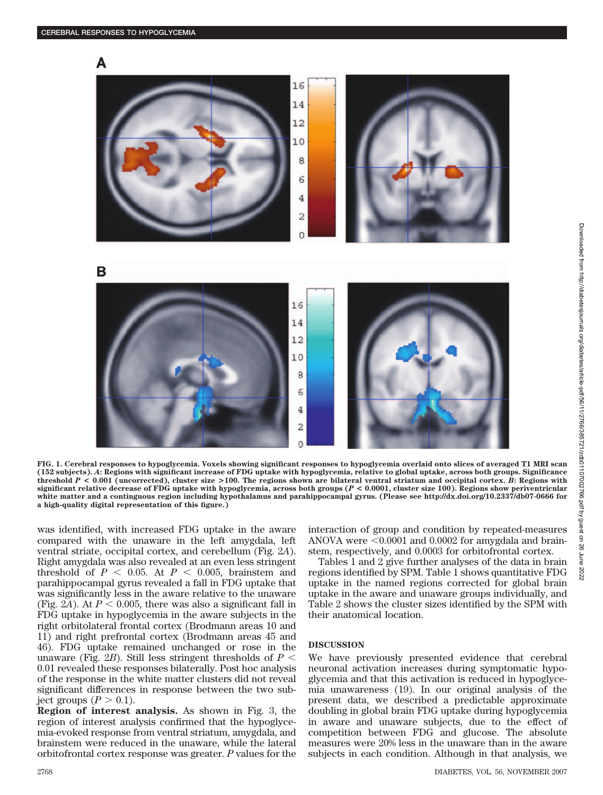

**FIG. 1. Cerebral responses to hypoglycemia. Voxels showing significant responses to hypoglycemia overlaid onto slices of averaged T1 MRI scan (152 subjects).** *A***: Regions with significant increase of FDG uptake with hypoglycemia, relative to global uptake, across both groups. Significance** threshold  $P < 0.001$  (uncorrected), cluster size  $> 100$ . The regions shown are bilateral ventral striatum and occipital cortex. *B*: Regions with **significant relative decrease of FDG uptake with hypoglycemia, across both groups (***P* **< 0.0001, cluster size 100). Regions show periventricular white matter and a continguous region including hypothalamus and parahippocampal gyrus. (Please see http://dx.doi.org/10.2337/db07-0666 for a high-quality digital representation of this figure.)**

was identified, with increased FDG uptake in the aware compared with the unaware in the left amygdala, left ventral striate, occipital cortex, and cerebellum (Fig. 2*A*). Right amygdala was also revealed at an even less stringent threshold of  $P < 0.05$ . At  $P < 0.005$ , brainstem and parahippocampal gyrus revealed a fall in FDG uptake that was significantly less in the aware relative to the unaware (Fig. 2A). At  $P < 0.005$ , there was also a significant fall in FDG uptake in hypoglycemia in the aware subjects in the right orbitolateral frontal cortex (Brodmann areas 10 and 11) and right prefrontal cortex (Brodmann areas 45 and 46). FDG uptake remained unchanged or rose in the unaware (Fig. 2*B*). Still less stringent thresholds of  $P \leq$ 0.01 revealed these responses bilaterally. Post hoc analysis of the response in the white matter clusters did not reveal significant differences in response between the two subject groups  $(P > 0.1)$ .

**Region of interest analysis.** As shown in Fig. 3, the region of interest analysis confirmed that the hypoglycemia-evoked response from ventral striatum, amygdala, and brainstem were reduced in the unaware, while the lateral orbitofrontal cortex response was greater. *P* values for the interaction of group and condition by repeated-measures ANOVA were  $\leq 0.0001$  and 0.0002 for amygdala and brainstem, respectively, and 0.0003 for orbitofrontal cortex.

Tables 1 and 2 give further analyses of the data in brain regions identified by SPM. Table 1 shows quantitative FDG uptake in the named regions corrected for global brain uptake in the aware and unaware groups individually, and Table 2 shows the cluster sizes identified by the SPM with their anatomical location.

# **DISCUSSION**

We have previously presented evidence that cerebral neuronal activation increases during symptomatic hypoglycemia and that this activation is reduced in hypoglycemia unawareness (19). In our original analysis of the present data, we described a predictable approximate doubling in global brain FDG uptake during hypoglycemia in aware and unaware subjects, due to the effect of competition between FDG and glucose. The absolute measures were 20% less in the unaware than in the aware subjects in each condition. Although in that analysis, we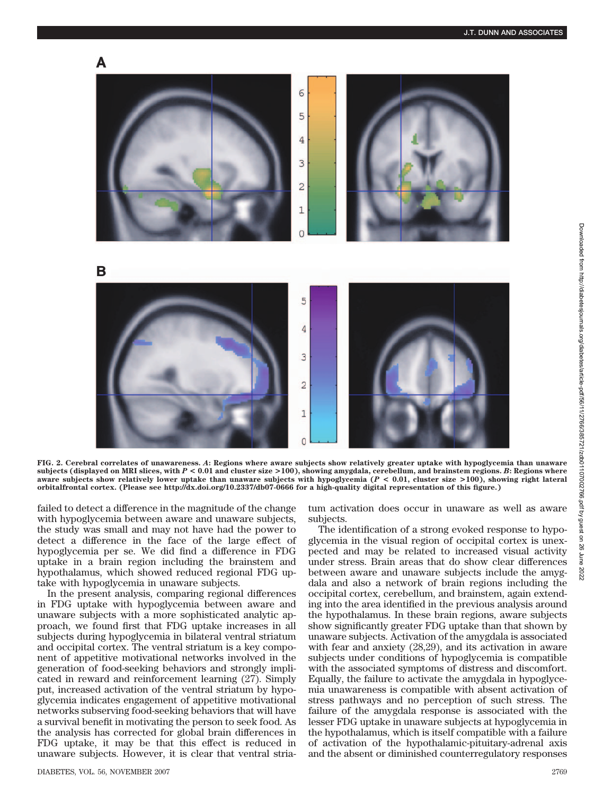

**FIG. 2. Cerebral correlates of unawareness.** *A***: Regions where aware subjects show relatively greater uptake with hypoglycemia than unaware subjects (displayed on MRI slices, with** *P* **< 0.01 and cluster size >100), showing amygdala, cerebellum, and brainstem regions.** *B***: Regions where aware subjects show relatively lower uptake than unaware subjects with hypoglycemia (***P* **< 0.01, cluster size >100), showing right lateral orbitalfrontal cortex. (Please see http://dx.doi.org/10.2337/db07-0666 for a high-quality digital representation of this figure.)**

failed to detect a difference in the magnitude of the change with hypoglycemia between aware and unaware subjects, the study was small and may not have had the power to detect a difference in the face of the large effect of hypoglycemia per se. We did find a difference in FDG uptake in a brain region including the brainstem and hypothalamus, which showed reduced regional FDG uptake with hypoglycemia in unaware subjects.

In the present analysis, comparing regional differences in FDG uptake with hypoglycemia between aware and unaware subjects with a more sophisticated analytic approach, we found first that FDG uptake increases in all subjects during hypoglycemia in bilateral ventral striatum and occipital cortex. The ventral striatum is a key component of appetitive motivational networks involved in the generation of food-seeking behaviors and strongly implicated in reward and reinforcement learning (27). Simply put, increased activation of the ventral striatum by hypoglycemia indicates engagement of appetitive motivational networks subserving food-seeking behaviors that will have a survival benefit in motivating the person to seek food. As the analysis has corrected for global brain differences in FDG uptake, it may be that this effect is reduced in unaware subjects. However, it is clear that ventral striatum activation does occur in unaware as well as aware subjects.

The identification of a strong evoked response to hypoglycemia in the visual region of occipital cortex is unexpected and may be related to increased visual activity under stress. Brain areas that do show clear differences between aware and unaware subjects include the amygdala and also a network of brain regions including the occipital cortex, cerebellum, and brainstem, again extending into the area identified in the previous analysis around the hypothalamus. In these brain regions, aware subjects show significantly greater FDG uptake than that shown by unaware subjects. Activation of the amygdala is associated with fear and anxiety (28,29), and its activation in aware subjects under conditions of hypoglycemia is compatible with the associated symptoms of distress and discomfort. Equally, the failure to activate the amygdala in hypoglycemia unawareness is compatible with absent activation of stress pathways and no perception of such stress. The failure of the amygdala response is associated with the lesser FDG uptake in unaware subjects at hypoglycemia in the hypothalamus, which is itself compatible with a failure of activation of the hypothalamic-pituitary-adrenal axis and the absent or diminished counterregulatory responses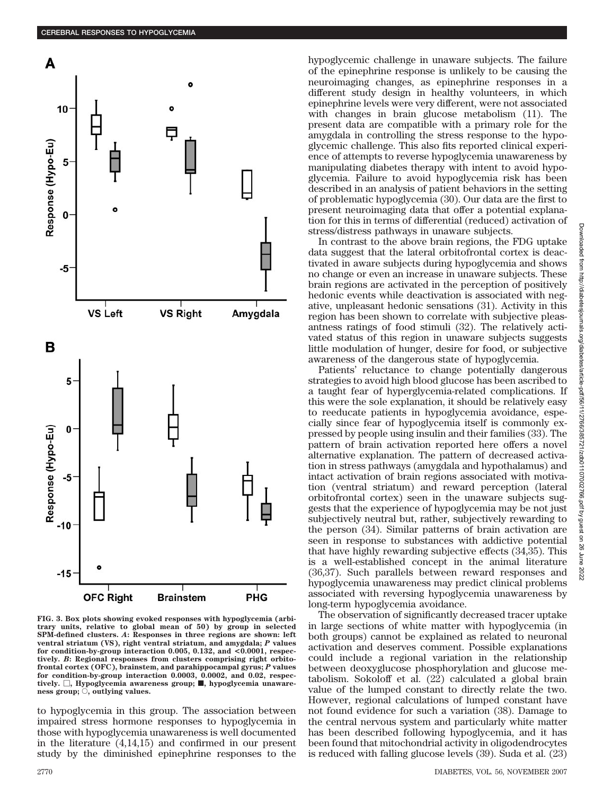

**FIG. 3. Box plots showing evoked responses with hypoglycemia (arbitrary units, relative to global mean of 50) by group in selected SPM-defined clusters.** *A***: Responses in three regions are shown: left ventral striatum (VS), right ventral striatum, and amygdala;** *P* **values for condition-by-group interaction 0.005, 0.132, and <0.0001, respectively.** *B***: Regional responses from clusters comprising right orbitofrontal cortex (OFC), brainstem, and parahippocampal gyrus;** *P* **values for condition-by-group interaction 0.0003, 0.0002, and 0.02, respec**tively.  $\Box$ , Hypoglycemia awareness group; **ii**, hypoglycemia unaware**ness group;**  $\bigcirc$ , outlying values.

to hypoglycemia in this group. The association between impaired stress hormone responses to hypoglycemia in those with hypoglycemia unawareness is well documented in the literature (4,14,15) and confirmed in our present study by the diminished epinephrine responses to the

hypoglycemic challenge in unaware subjects. The failure of the epinephrine response is unlikely to be causing the neuroimaging changes, as epinephrine responses in a different study design in healthy volunteers, in which epinephrine levels were very different, were not associated with changes in brain glucose metabolism (11). The present data are compatible with a primary role for the amygdala in controlling the stress response to the hypoglycemic challenge. This also fits reported clinical experience of attempts to reverse hypoglycemia unawareness by manipulating diabetes therapy with intent to avoid hypoglycemia. Failure to avoid hypoglycemia risk has been described in an analysis of patient behaviors in the setting of problematic hypoglycemia (30). Our data are the first to present neuroimaging data that offer a potential explanation for this in terms of differential (reduced) activation of stress/distress pathways in unaware subjects.

In contrast to the above brain regions, the FDG uptake data suggest that the lateral orbitofrontal cortex is deactivated in aware subjects during hypoglycemia and shows no change or even an increase in unaware subjects. These brain regions are activated in the perception of positively hedonic events while deactivation is associated with negative, unpleasant hedonic sensations (31). Activity in this region has been shown to correlate with subjective pleasantness ratings of food stimuli (32). The relatively activated status of this region in unaware subjects suggests little modulation of hunger, desire for food, or subjective awareness of the dangerous state of hypoglycemia.

Patients' reluctance to change potentially dangerous strategies to avoid high blood glucose has been ascribed to a taught fear of hyperglycemia-related complications. If this were the sole explanation, it should be relatively easy to reeducate patients in hypoglycemia avoidance, especially since fear of hypoglycemia itself is commonly expressed by people using insulin and their families (33). The pattern of brain activation reported here offers a novel alternative explanation. The pattern of decreased activation in stress pathways (amygdala and hypothalamus) and intact activation of brain regions associated with motivation (ventral striatum) and reward perception (lateral orbitofrontal cortex) seen in the unaware subjects suggests that the experience of hypoglycemia may be not just subjectively neutral but, rather, subjectively rewarding to the person (34). Similar patterns of brain activation are seen in response to substances with addictive potential that have highly rewarding subjective effects (34,35). This is a well-established concept in the animal literature (36,37). Such parallels between reward responses and hypoglycemia unawareness may predict clinical problems associated with reversing hypoglycemia unawareness by long-term hypoglycemia avoidance.

The observation of significantly decreased tracer uptake in large sections of white matter with hypoglycemia (in both groups) cannot be explained as related to neuronal activation and deserves comment. Possible explanations could include a regional variation in the relationship between deoxyglucose phosphorylation and glucose metabolism. Sokoloff et al. (22) calculated a global brain value of the lumped constant to directly relate the two. However, regional calculations of lumped constant have not found evidence for such a variation (38). Damage to the central nervous system and particularly white matter has been described following hypoglycemia, and it has been found that mitochondrial activity in oligodendrocytes is reduced with falling glucose levels (39). Suda et al. (23)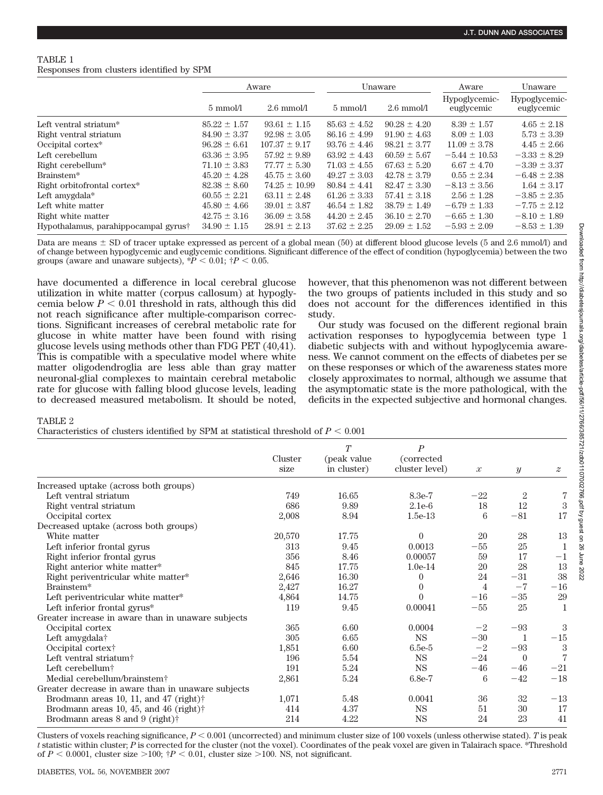# TABLE 1 Responses from clusters identified by SPM

|                                      | Aware            |                      | Unaware            |                      | Aware                       | Unaware                     |  |
|--------------------------------------|------------------|----------------------|--------------------|----------------------|-----------------------------|-----------------------------|--|
|                                      | 5 mmol/l         | $2.6 \text{ mmol/l}$ | $5 \text{ mmol/l}$ | $2.6 \text{ mmol/l}$ | Hypoglycemic-<br>euglycemic | Hypoglycemic-<br>euglycemic |  |
| Left ventral striatum <sup>*</sup>   | $85.22 \pm 1.57$ | $93.61 \pm 1.15$     | $85.63 \pm 4.52$   | $90.28 \pm 4.20$     | $8.39 \pm 1.57$             | $4.65 \pm 2.18$             |  |
| Right ventral striatum               | $84.90 \pm 3.37$ | $92.98 \pm 3.05$     | $86.16 \pm 4.99$   | $91.90 \pm 4.63$     | $8.09 \pm 1.03$             | $5.73 \pm 3.39$             |  |
| Occipital cortex*                    | $96.28 \pm 6.61$ | $107.37 \pm 9.17$    | $93.76 \pm 4.46$   | $98.21 \pm 3.77$     | $11.09 \pm 3.78$            | $4.45 \pm 2.66$             |  |
| Left cerebellum                      | $63.36 \pm 3.95$ | $57.92 \pm 9.89$     | $63.92 \pm 4.43$   | $60.59 \pm 5.67$     | $-5.44 \pm 10.53$           | $-3.33 \pm 8.29$            |  |
| Right cerebellum*                    | $71.10 \pm 3.83$ | $77.77 \pm 5.30$     | $71.03 \pm 4.55$   | $67.63 \pm 5.20$     | $6.67 \pm 4.70$             | $-3.39 \pm 3.37$            |  |
| Brainstem*                           | $45.20 \pm 4.28$ | $45.75 \pm 3.60$     | $49.27 \pm 3.03$   | $42.78 \pm 3.79$     | $0.55 \pm 2.34$             | $-6.48 \pm 2.38$            |  |
| Right orbitofrontal cortex*          | $82.38 \pm 8.60$ | $74.25 \pm 10.99$    | $80.84 \pm 4.41$   | $82.47 \pm 3.30$     | $-8.13 \pm 3.56$            | $1.64 \pm 3.17$             |  |
| Left amygdala $*$                    | $60.55 \pm 2.21$ | $63.11 \pm 2.48$     | $61.26 \pm 3.33$   | $57.41 \pm 3.18$     | $2.56 \pm 1.28$             | $-3.85 \pm 2.35$            |  |
| Left white matter                    | $45.80 \pm 4.66$ | $39.01 \pm 3.87$     | $46.54 \pm 1.82$   | $38.79 \pm 1.49$     | $-6.79 \pm 1.33$            | $-7.75 \pm 2.12$            |  |
| Right white matter                   | $42.75 \pm 3.16$ | $36.09 \pm 3.58$     | $44.20 \pm 2.45$   | $36.10 \pm 2.70$     | $-6.65 \pm 1.30$            | $-8.10 \pm 1.89$            |  |
| Hypothalamus, parahippocampal gyrus† | $34.90 \pm 1.15$ | $28.91 \pm 2.13$     | $37.62 \pm 2.25$   | $29.09 \pm 1.52$     | $-5.93 \pm 2.09$            | $-8.53 \pm 1.39$            |  |

Data are means  $\pm$  SD of tracer uptake expressed as percent of a global mean (50) at different blood glucose levels (5 and 2.6 mmol/l) and of change between hypoglycemic and euglycemic conditions. Significant difference of the effect of condition (hypoglycemia) between the two groups (aware and unaware subjects),  $\overline{P}$  < 0.01;  $\overline{P}$  < 0.05.

have documented a difference in local cerebral glucose utilization in white matter (corpus callosum) at hypoglycemia below  $P < 0.01$  threshold in rats, although this did not reach significance after multiple-comparison corrections. Significant increases of cerebral metabolic rate for glucose in white matter have been found with rising glucose levels using methods other than FDG PET (40,41). This is compatible with a speculative model where white matter oligodendroglia are less able than gray matter neuronal-glial complexes to maintain cerebral metabolic rate for glucose with falling blood glucose levels, leading to decreased measured metabolism. It should be noted,

however, that this phenomenon was not different between the two groups of patients included in this study and so does not account for the differences identified in this study.

Our study was focused on the different regional brain activation responses to hypoglycemia between type 1 diabetic subjects with and without hypoglycemia awareness. We cannot comment on the effects of diabetes per se on these responses or which of the awareness states more closely approximates to normal, although we assume that the asymptomatic state is the more pathological, with the deficits in the expected subjective and hormonal changes.

TABLE 2

Characteristics of clusters identified by SPM at statistical threshold of  $P < 0.001$ 

|                                                    | Cluster | T<br>(peak value | $\boldsymbol{P}$ |               |                |                  |
|----------------------------------------------------|---------|------------------|------------------|---------------|----------------|------------------|
|                                                    |         |                  | (corrected       |               |                |                  |
|                                                    | size    | in cluster)      | cluster level)   | $\mathcal{X}$ | $\mathcal{Y}$  | $\boldsymbol{z}$ |
| Increased uptake (across both groups)              |         |                  |                  |               |                |                  |
| Left ventral striatum                              | 749     | 16.65            | 8.3e-7           | $-22$         | $\overline{2}$ | 7                |
| Right ventral striatum                             | 686     | 9.89             | $2.1e-6$         | 18            | 12             | $\sqrt{3}$       |
| Occipital cortex                                   | 2,008   | 8.94             | $1.5e-13$        | 6             | $-81$          | 17               |
| Decreased uptake (across both groups)              |         |                  |                  |               |                |                  |
| White matter                                       | 20,570  | 17.75            | $\theta$         | 20            | 28             | 13               |
| Left inferior frontal gyrus                        | 313     | 9.45             | 0.0013           | $-55$         | 25             |                  |
| Right inferior frontal gyrus                       | 356     | 8.46             | 0.00057          | 59            | 17             | $-1$             |
| Right anterior white matter*                       | 845     | 17.75            | $1.0e-14$        | 20            | 28             | 13               |
| Right periventricular white matter*                | 2,646   | 16.30            | $\theta$         | 24            | $-31$          | 38               |
| Brainstem*                                         | 2,427   | 16.27            | $\theta$         | 4             | $-7$           | $-16$            |
| Left periventricular white matter*                 | 4,864   | 14.75            | $\theta$         | $-16$         | $-35$          | 29               |
| Left inferior frontal gyrus*                       | 119     | 9.45             | 0.00041          | $-55$         | 25             | 1                |
| Greater increase in aware than in unaware subjects |         |                  |                  |               |                |                  |
| Occipital cortex                                   | 365     | 6.60             | 0.0004           | $-2$          | $-93$          | 3                |
| Left amygdala†                                     | 305     | 6.65             | <b>NS</b>        | $-30$         | 1              | $-15$            |
| Occipital cortex <sup>†</sup>                      | 1,851   | 6.60             | $6.5e-5$         | $-2$          | $-93$          | 3                |
| Left ventral striatum <sup>†</sup>                 | 196     | 5.54             | <b>NS</b>        | $-24$         | $\overline{0}$ | 7                |
| Left cerebellum <sup>†</sup>                       | 191     | 5.24             | $_{\rm NS}$      | $-46$         | $-46$          | $-21$            |
| Medial cerebellum/brainstem <sup>†</sup>           | 2,861   | 5.24             | $6.8e-7$         | 6             | $-42$          | $-18$            |
| Greater decrease in aware than in unaware subjects |         |                  |                  |               |                |                  |
| Brodmann areas 10, 11, and 47 (right) $\dagger$    | 1,071   | 5.48             | 0.0041           | 36            | 32             | $-13$            |
| Brodmann areas 10, 45, and 46 (right) $\dagger$    | 414     | 4.37             | <b>NS</b>        | 51            | 30             | 17               |
| Brodmann areas $8$ and $9$ (right) $\dagger$       | 214     | 4.22             | <b>NS</b>        | 24            | 23             | 41               |

Clusters of voxels reaching significance,  $P < 0.001$  (uncorrected) and minimum cluster size of 100 voxels (unless otherwise stated). *T* is peak *t* statistic within cluster; *P* is corrected for the cluster (not the voxel). Coordinates of the peak voxel are given in Talairach space. \*Threshold of  $P < 0.0001$ , cluster size  $> 100$ ;  $\dagger P < 0.01$ , cluster size  $> 100$ . NS, not significant.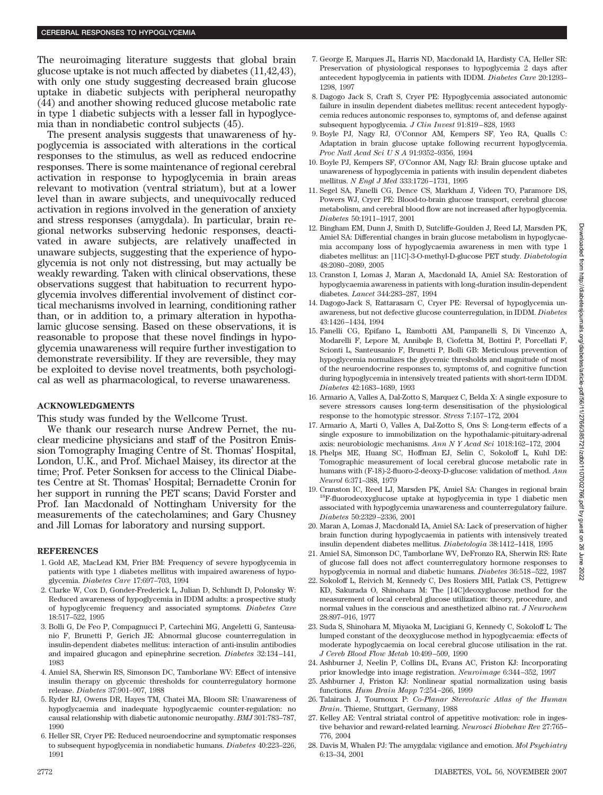The neuroimaging literature suggests that global brain glucose uptake is not much affected by diabetes (11,42,43), with only one study suggesting decreased brain glucose uptake in diabetic subjects with peripheral neuropathy (44) and another showing reduced glucose metabolic rate in type 1 diabetic subjects with a lesser fall in hypoglycemia than in nondiabetic control subjects (45).

The present analysis suggests that unawareness of hypoglycemia is associated with alterations in the cortical responses to the stimulus, as well as reduced endocrine responses. There is some maintenance of regional cerebral activation in response to hypoglycemia in brain areas relevant to motivation (ventral striatum), but at a lower level than in aware subjects, and unequivocally reduced activation in regions involved in the generation of anxiety and stress responses (amygdala). In particular, brain regional networks subserving hedonic responses, deactivated in aware subjects, are relatively unaffected in unaware subjects, suggesting that the experience of hypoglycemia is not only not distressing, but may actually be weakly rewarding. Taken with clinical observations, these observations suggest that habituation to recurrent hypoglycemia involves differential involvement of distinct cortical mechanisms involved in learning, conditioning rather than, or in addition to, a primary alteration in hypothalamic glucose sensing. Based on these observations, it is reasonable to propose that these novel findings in hypoglycemia unawareness will require further investigation to demonstrate reversibility. If they are reversible, they may be exploited to devise novel treatments, both psychological as well as pharmacological, to reverse unawareness.

## **ACKNOWLEDGMENTS**

This study was funded by the Wellcome Trust.

We thank our research nurse Andrew Pernet, the nuclear medicine physicians and staff of the Positron Emission Tomography Imaging Centre of St. Thomas' Hospital, London, U.K., and Prof. Michael Maisey, its director at the time; Prof. Peter Sonksen for access to the Clinical Diabetes Centre at St. Thomas' Hospital; Bernadette Cronin for her support in running the PET scans; David Forster and Prof. Ian Macdonald of Nottingham University for the measurements of the catecholamines; and Gary Chusney and Jill Lomas for laboratory and nursing support.

## **REFERENCES**

- 1. Gold AE, MacLead KM, Frier BM: Frequency of severe hypoglycemia in patients with type 1 diabetes mellitus with impaired awareness of hypoglycemia. *Diabetes Care* 17:697–703, 1994
- 2. Clarke W, Cox D, Gonder-Frederick L, Julian D, Schlundt D, Polonsky W: Reduced awareness of hypoglycemia in IDDM adults: a prospective study of hypoglycemic frequency and associated symptoms. *Diabetes Care* 18:517–522, 1995
- 3. Bolli G, De Feo P, Compagnucci P, Cartechini MG, Angeletti G, Santeusanio F, Brunetti P, Gerich JE: Abnormal glucose counterregulation in insulin-dependent diabetes mellitus: interaction of anti-insulin antibodies and impaired glucagon and epinephrine secretion. *Diabetes* 32:134 –141, 1983
- 4. Amiel SA, Sherwin RS, Simonson DC, Tamborlane WV: Effect of intensive insulin therapy on glycemic thresholds for counterregulatory hormone release. *Diabetes* 37:901–907, 1988
- 5. Ryder RJ, Owens DR, Hayes TM, Chatei MA, Bloom SR: Unawareness of hypoglycaemia and inadequate hypoglycaemic counter-regulation: no causal relationship with diabetic autonomic neuropathy. *BMJ* 301:783–787, 1990
- 6. Heller SR, Cryer PE: Reduced neuroendocrine and symptomatic responses to subsequent hypoglycemia in nondiabetic humans. *Diabetes* 40:223–226, 1991
- 7. George E, Marques JL, Harris ND, Macdonald IA, Hardisty CA, Heller SR: Preservation of physiological responses to hypoglycemia 2 days after antecedent hypoglycemia in patients with IDDM. *Diabetes Care* 20:1293– 1298, 1997
- 8. Dagogo Jack S, Craft S, Cryer PE: Hypoglycemia associated autonomic failure in insulin dependent diabetes mellitus: recent antecedent hypoglycemia reduces autonomic responses to, symptoms of, and defense against subsequent hypoglycemia. *J Clin Invest* 91:819 – 828, 1993
- 9. Boyle PJ, Nagy RJ, O'Connor AM, Kempers SF, Yeo RA, Qualls C: Adaptation in brain glucose uptake following recurrent hypoglycemia. *Proc Natl Acad SciUSA* 91:9352–9356, 1994
- 10. Boyle PJ, Kempers SF, O'Connor AM, Nagy RJ: Brain glucose uptake and unawareness of hypoglycemia in patients with insulin dependent diabetes mellitus. *N Engl J Med* 333:1726 –1731, 1995
- 11. Segel SA, Fanelli CG, Dence CS, Markham J, Videen TO, Paramore DS, Powers WJ, Cryer PE: Blood-to-brain glucose transport, cerebral glucose metabolism, and cerebral blood flow are not increased after hypoglycemia. *Diabetes* 50:1911–1917, 2001
- 12. Bingham EM, Dunn J, Smith D, Sutcliffe-Goulden J, Reed LJ, Marsden PK, Amiel SA: Differential changes in brain glucose metabolism in hypoglycaemia accompany loss of hypoglycaemia awareness in men with type 1 diabetes mellitus: an [11C]-3-O-methyl-D-glucose PET study. *Diabetologia* 48:2080 –2089, 2005
- 13. Cranston I, Lomas J, Maran A, Macdonald IA, Amiel SA: Restoration of hypoglycaemia awareness in patients with long-duration insulin-dependent diabetes. *Lancet* 344:283–287, 1994
- 14. Dagogo-Jack S, Rattarasarn C, Cryer PE: Reversal of hypoglycemia unawareness, but not defective glucose counterregulation, in IDDM. *Diabetes* 43:1426 –1434, 1994
- 15. Fanelli CG, Epifano L, Rambotti AM, Pampanelli S, Di Vincenzo A, Modarelli F, Lepore M, Annibqle B, Ciofetta M, Bottini P, Porcellati F, Scionti L, Santeusanio F, Brunetti P, Bolli GB: Meticulous prevention of hypoglycemia normalizes the glycemic thresholds and magnitude of most of the neuroendocrine responses to, symptoms of, and cognitive function during hypoglycemia in intensively treated patients with short-term IDDM. *Diabetes* 42:1683–1689, 1993
- 16. Armario A, Valles A, Dal-Zotto S, Marquez C, Belda X: A single exposure to severe stressors causes long-term desensitisation of the physiological response to the homotypic stressor. *Stress* 7:157–172, 2004
- 17. Armario A, Marti O, Valles A, Dal-Zotto S, Ons S: Long-term effects of a single exposure to immobilization on the hypothalamic-pituitary-adrenal axis: neurobiologic mechanisms. *Ann N Y Acad Sci* 1018:162–172, 2004
- 18. Phelps ME, Huang SC, Hoffman EJ, Selin C, Sokoloff L, Kuhl DE: Tomographic measurement of local cerebral glucose metabolic rate in humans with (F-18)-2-fluoro-2-deoxy-D-glucose: validation of method. *Ann Neurol* 6:371–388, 1979
- 19. Cranston IC, Reed LJ, Marsden PK, Amiel SA: Changes in regional brain 18F-fluorodeoxyglucose uptake at hypoglycemia in type 1 diabetic men associated with hypoglycemia unawareness and counterregulatory failure. *Diabetes* 50:2329 –2336, 2001
- 20. Maran A, Lomas J, Macdonald IA, Amiel SA: Lack of preservation of higher brain function during hypoglycaemia in patients with intensively treated insulin dependent diabetes mellitus. *Diabetologia* 38:1412–1418, 1995
- 21. Amiel SA, Simonson DC, Tamborlane WV, DeFronzo RA, Sherwin RS: Rate of glucose fall does not affect counterregulatory hormone responses to hypoglycemia in normal and diabetic humans. *Diabetes* 36:518 –522, 1987
- 22. Sokoloff L, Reivich M, Kennedy C, Des Rosiers MH, Patlak CS, Pettigrew KD, Sakurada O, Shinohara M: The [14C]deoxyglucose method for the measurement of local cerebral glucose utilization: theory, procedure, and normal values in the conscious and anesthetized albino rat. *J Neurochem* 28:897–916, 1977
- 23. Suda S, Shinohara M, Miyaoka M, Lucigiani G, Kennedy C, Sokoloff L: The lumped constant of the deoxyglucose method in hypoglycaemia: effects of moderate hypoglycaemia on local cerebral glucose utilisation in the rat. *J Cereb Blood Flow Metab* 10:499 –509, 1990
- 24. Ashburner J, Neelin P, Collins DL, Evans AC, Friston KJ: Incorporating prior knowledge into image registration. *Neuroimage* 6:344 –352, 1997
- 25. Ashburner J, Friston KJ: Nonlinear spatial normalization using basis functions. *Hum Brain Mapp* 7:254 –266, 1999
- 26. Talairach J, Tournoux P: *Co-Planar Stereotaxic Atlas of the Human Brain*. Thieme, Stuttgart, Germany, 1988
- 27. Kelley AE: Ventral striatal control of appetitive motivation: role in ingestive behavior and reward-related learning. *Neurosci Biobehav Rev* 27:765– 776, 2004
- 28. Davis M, Whalen PJ: The amygdala: vigilance and emotion. *Mol Psychiatry* 6:13–34, 2001